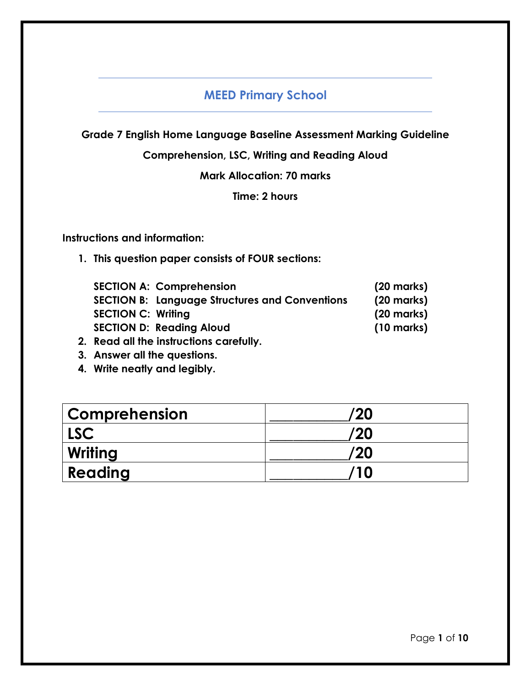# **MEED Primary School**

**Grade 7 English Home Language Baseline Assessment Marking Guideline**

**Comprehension, LSC, Writing and Reading Aloud**

**Mark Allocation: 70 marks**

**Time: 2 hours**

**Instructions and information:**

**1. This question paper consists of FOUR sections:**

| <b>SECTION A: Comprehension</b>                       | $(20$ marks)         |
|-------------------------------------------------------|----------------------|
| <b>SECTION B: Language Structures and Conventions</b> | $(20$ marks)         |
| <b>SECTION C: Writing</b>                             | $(20$ marks)         |
| <b>SECTION D: Reading Aloud</b>                       | $(10 \text{ marks})$ |
| <b>Dond all tho instructions ografully</b>            |                      |

- **2. Read all the instructions carefully.**
- **3. Answer all the questions.**
- **4. Write neatly and legibly.**

| <b>Comprehension</b> | '20 |
|----------------------|-----|
| <b>LSC</b>           | '20 |
| Writing              | '20 |
| Reading              | 10  |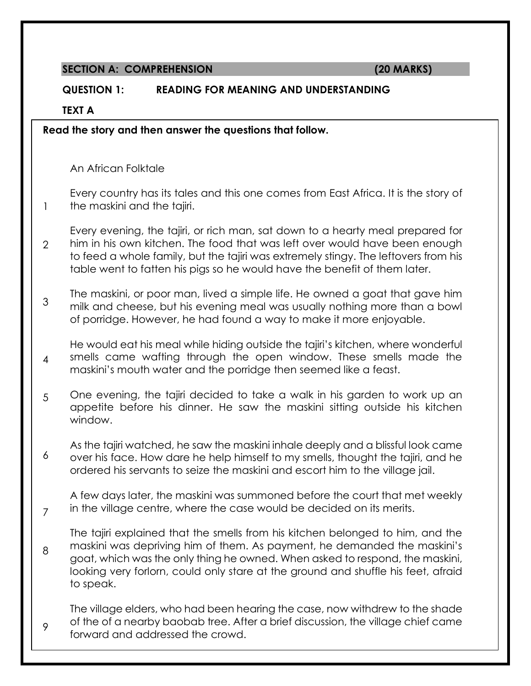#### **SECTION A: COMPREHENSION (20 MARKS)**

#### **QUESTION 1: READING FOR MEANING AND UNDERSTANDING**

**TEXT A**

1

7

9

**Read the story and then answer the questions that follow.**

An African Folktale

Every country has its tales and this one comes from East Africa. It is the story of the maskini and the tajiri.

 $\mathcal{L}$ Every evening, the tajiri, or rich man, sat down to a hearty meal prepared for him in his own kitchen. The food that was left over would have been enough to feed a whole family, but the tajiri was extremely stingy. The leftovers from his table went to fatten his pigs so he would have the benefit of them later.

3 The maskini, or poor man, lived a simple life. He owned a goat that gave him milk and cheese, but his evening meal was usually nothing more than a bowl of porridge. However, he had found a way to make it more enjoyable.

4 He would eat his meal while hiding outside the tajiri's kitchen, where wonderful smells came wafting through the open window. These smells made the maskini's mouth water and the porridge then seemed like a feast.

- 5 One evening, the tajiri decided to take a walk in his garden to work up an appetite before his dinner. He saw the maskini sitting outside his kitchen window.
- 6 As the tajiri watched, he saw the maskini inhale deeply and a blissful look came over his face. How dare he help himself to my smells, thought the tajiri, and he ordered his servants to seize the maskini and escort him to the village jail.

A few days later, the maskini was summoned before the court that met weekly in the village centre, where the case would be decided on its merits.

8 The tajiri explained that the smells from his kitchen belonged to him, and the maskini was depriving him of them. As payment, he demanded the maskini's goat, which was the only thing he owned. When asked to respond, the maskini, looking very forlorn, could only stare at the ground and shuffle his feet, afraid to speak.

The village elders, who had been hearing the case, now withdrew to the shade of the of a nearby baobab tree. After a brief discussion, the village chief came forward and addressed the crowd.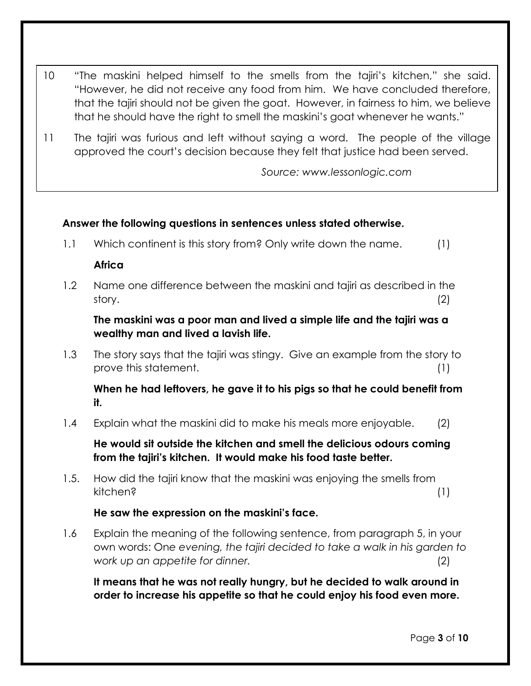- 10 "The maskini helped himself to the smells from the tajiri's kitchen," she said. "However, he did not receive any food from him. We have concluded therefore, that the tajiri should not be given the goat. However, in fairness to him, we believe that he should have the right to smell the maskini's goat whenever he wants."
- 11 The tajiri was furious and left without saying a word. The people of the village approved the court's decision because they felt that justice had been served.

*Source: www.lessonlogic.com*

### **Answer the following questions in sentences unless stated otherwise.**

1.1 Which continent is this story from? Only write down the name. (1)

### **Africa**

1.2 Name one difference between the maskini and tajiri as described in the story. (2)

**The maskini was a poor man and lived a simple life and the tajiri was a wealthy man and lived a lavish life.** 

1.3 The story says that the tajiri was stingy. Give an example from the story to prove this statement. (1)

## **When he had leftovers, he gave it to his pigs so that he could benefit from it.**

1.4 Explain what the maskini did to make his meals more enjoyable. (2)

**He would sit outside the kitchen and smell the delicious odours coming from the tajiri's kitchen. It would make his food taste better.** 

1.5. How did the tajiri know that the maskini was enjoying the smells from kitchen? (1)

## **He saw the expression on the maskini's face.**

1.6 Explain the meaning of the following sentence, from paragraph 5, in your own words: On*e evening, the tajiri decided to take a walk in his garden to work up an appetite for dinner.* (2)

**It means that he was not really hungry, but he decided to walk around in order to increase his appetite so that he could enjoy his food even more.**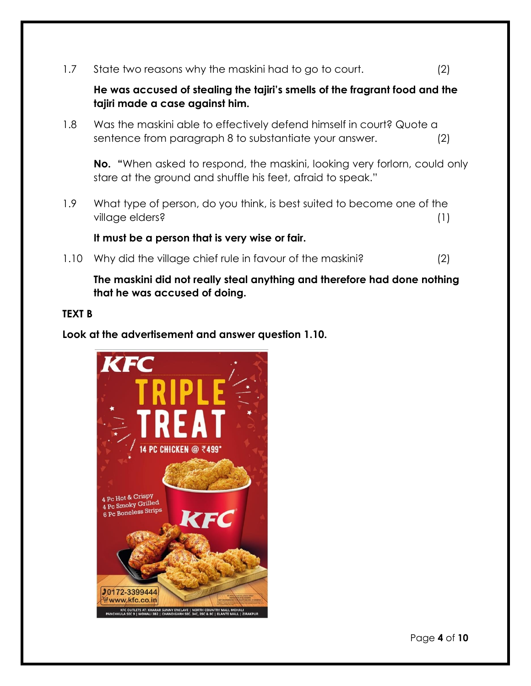1.7 State two reasons why the maskini had to go to court. (2)

## **He was accused of stealing the tajiri's smells of the fragrant food and the tajiri made a case against him.**

1.8 Was the maskini able to effectively defend himself in court? Quote a sentence from paragraph 8 to substantiate your answer. (2)

**No. "**When asked to respond, the maskini, looking very forlorn, could only stare at the ground and shuffle his feet, afraid to speak."

1.9 What type of person, do you think, is best suited to become one of the village elders? (1)

**It must be a person that is very wise or fair.** 

1.10 Why did the village chief rule in favour of the maskini? (2)

**The maskini did not really steal anything and therefore had done nothing that he was accused of doing.** 

#### **TEXT B**

**Look at the advertisement and answer question 1.10.**



Page **4** of **10**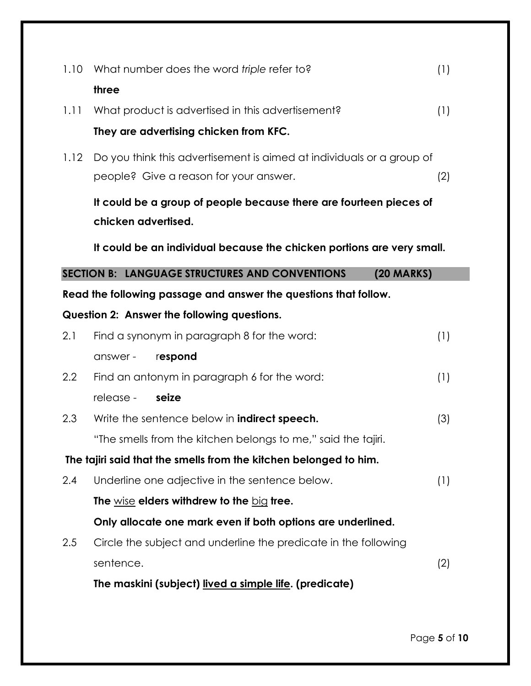| 1.10             | What number does the word triple refer to?                             | (1) |
|------------------|------------------------------------------------------------------------|-----|
|                  | three                                                                  |     |
| 1.11             | What product is advertised in this advertisement?                      | (1) |
|                  | They are advertising chicken from KFC.                                 |     |
| 1.12             | Do you think this advertisement is aimed at individuals or a group of  |     |
|                  | people? Give a reason for your answer.                                 | (2) |
|                  | It could be a group of people because there are fourteen pieces of     |     |
|                  | chicken advertised.                                                    |     |
|                  | It could be an individual because the chicken portions are very small. |     |
|                  | SECTION B: LANGUAGE STRUCTURES AND CONVENTIONS<br>$(20$ MARKS)         |     |
|                  | Read the following passage and answer the questions that follow.       |     |
|                  | Question 2: Answer the following questions.                            |     |
| 2.1              | Find a synonym in paragraph 8 for the word:                            | (1) |
|                  | respond<br>answer -                                                    |     |
| $2.2\phantom{0}$ | Find an antonym in paragraph 6 for the word:                           | (1) |
|                  | release -<br>seize                                                     |     |
| 2.3              | Write the sentence below in <b>indirect speech.</b>                    | (3) |
|                  | "The smells from the kitchen belongs to me," said the tajiri.          |     |
|                  | The tajiri said that the smells from the kitchen belonged to him.      |     |
| 2.4              | Underline one adjective in the sentence below.                         | (1) |
|                  | The $wise$ elders withdrew to the $big$ tree.                          |     |
|                  | Only allocate one mark even if both options are underlined.            |     |
| 2.5              | Circle the subject and underline the predicate in the following        |     |
|                  | sentence.                                                              | (2) |
|                  | The maskini (subject) lived a simple life. (predicate)                 |     |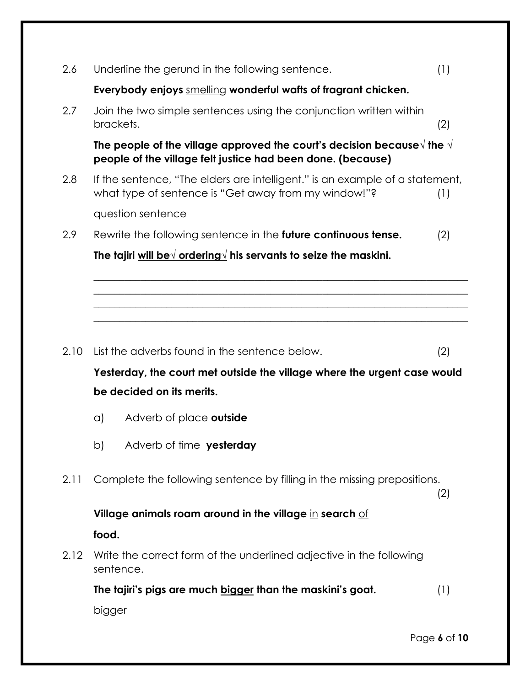| 2.6  | Underline the gerund in the following sentence.                                                                                                        | (1) |
|------|--------------------------------------------------------------------------------------------------------------------------------------------------------|-----|
|      | Everybody enjoys smelling wonderful wafts of fragrant chicken.                                                                                         |     |
| 2.7  | Join the two simple sentences using the conjunction written within<br>brackets.                                                                        | (2) |
|      | The people of the village approved the court's decision because $\forall$ the $\forall$<br>people of the village felt justice had been done. (because) |     |
| 2.8  | If the sentence, "The elders are intelligent." is an example of a statement,<br>what type of sentence is "Get away from my window!"?                   | (1) |
|      | question sentence                                                                                                                                      |     |
| 2.9  | Rewrite the following sentence in the future continuous tense.                                                                                         | (2) |
|      | The tajiri will be $\sqrt{$ ordering $\sqrt{ }$ his servants to seize the maskini.                                                                     |     |
|      |                                                                                                                                                        |     |
|      |                                                                                                                                                        |     |
|      |                                                                                                                                                        |     |
| 2.10 | List the adverbs found in the sentence below.                                                                                                          | (2) |
|      | Yesterday, the court met outside the village where the urgent case would                                                                               |     |
|      |                                                                                                                                                        |     |
|      | be decided on its merits.                                                                                                                              |     |
|      | Adverb of place outside<br>a)                                                                                                                          |     |
|      | Adverb of time yesterday<br>b)                                                                                                                         |     |
| 2.11 | Complete the following sentence by filling in the missing prepositions.                                                                                | (2) |
|      | Village animals roam around in the village in search $of$                                                                                              |     |
|      | food.                                                                                                                                                  |     |
| 2.12 | Write the correct form of the underlined adjective in the following<br>sentence.                                                                       |     |
|      | The tajiri's pigs are much bigger than the maskini's goat.                                                                                             | (1) |
|      | bigger                                                                                                                                                 |     |

Page **6** of **10**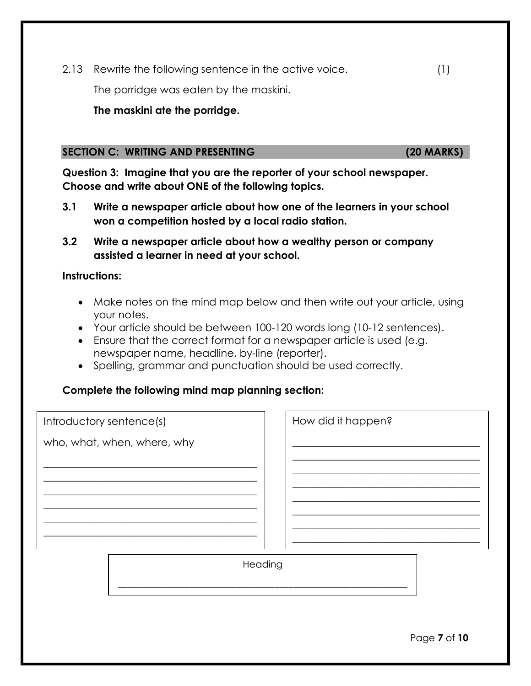2.13 Rewrite the following sentence in the active voice. (1)

The porridge was eaten by the maskini.

#### **The maskini ate the porridge.**

#### **SECTION C: WRITING AND PRESENTING (20 MARKS)**

**Question 3: Imagine that you are the reporter of your school newspaper. Choose and write about ONE of the following topics.**

- **3.1 Write a newspaper article about how one of the learners in your school won a competition hosted by a local radio station.**
- **3.2 Write a newspaper article about how a wealthy person or company assisted a learner in need at your school.**

#### **Instructions:**

- Make notes on the mind map below and then write out your article, using your notes.
- Your article should be between 100-120 words long (10-12 sentences).
- Ensure that the correct format for a newspaper article is used (e.g. newspaper name, headline, by-line (reporter).
- Spelling, grammar and punctuation should be used correctly.

#### **Complete the following mind map planning section:**

| Introductory sentence(s)    | How did it happen? |
|-----------------------------|--------------------|
| who, what, when, where, why |                    |
|                             |                    |
|                             |                    |
|                             |                    |
|                             |                    |
|                             |                    |
| Heading                     |                    |

\_\_\_\_\_\_\_\_\_\_\_\_\_\_\_\_\_\_\_\_\_\_\_\_\_\_\_\_\_\_\_\_\_\_\_\_\_\_\_\_\_\_\_\_\_\_\_\_\_\_\_\_\_\_\_\_\_\_\_\_\_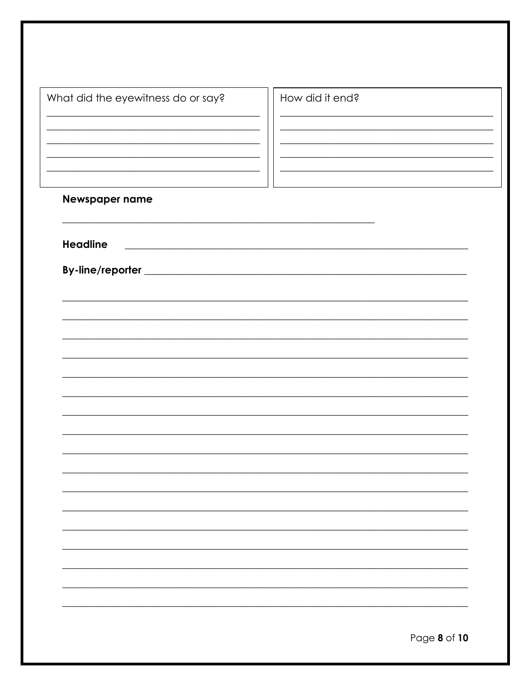| <u> 1989 - Johann Stoff, deutscher Stoffen und der Stoffen und der Stoffen und der Stoffen und der Stoffen und der</u><br>the control of the control of the control of the control of the control of<br><u> 1989 - Johann John Stein, market fan it ferskearre fan it ferskearre fan it ferskearre fan it ferskearre fan i</u> |  |
|--------------------------------------------------------------------------------------------------------------------------------------------------------------------------------------------------------------------------------------------------------------------------------------------------------------------------------|--|
|                                                                                                                                                                                                                                                                                                                                |  |
|                                                                                                                                                                                                                                                                                                                                |  |
|                                                                                                                                                                                                                                                                                                                                |  |
|                                                                                                                                                                                                                                                                                                                                |  |
|                                                                                                                                                                                                                                                                                                                                |  |
|                                                                                                                                                                                                                                                                                                                                |  |
|                                                                                                                                                                                                                                                                                                                                |  |
|                                                                                                                                                                                                                                                                                                                                |  |
|                                                                                                                                                                                                                                                                                                                                |  |
|                                                                                                                                                                                                                                                                                                                                |  |
|                                                                                                                                                                                                                                                                                                                                |  |
|                                                                                                                                                                                                                                                                                                                                |  |
|                                                                                                                                                                                                                                                                                                                                |  |
|                                                                                                                                                                                                                                                                                                                                |  |
|                                                                                                                                                                                                                                                                                                                                |  |
|                                                                                                                                                                                                                                                                                                                                |  |
|                                                                                                                                                                                                                                                                                                                                |  |
|                                                                                                                                                                                                                                                                                                                                |  |
|                                                                                                                                                                                                                                                                                                                                |  |
|                                                                                                                                                                                                                                                                                                                                |  |
|                                                                                                                                                                                                                                                                                                                                |  |
|                                                                                                                                                                                                                                                                                                                                |  |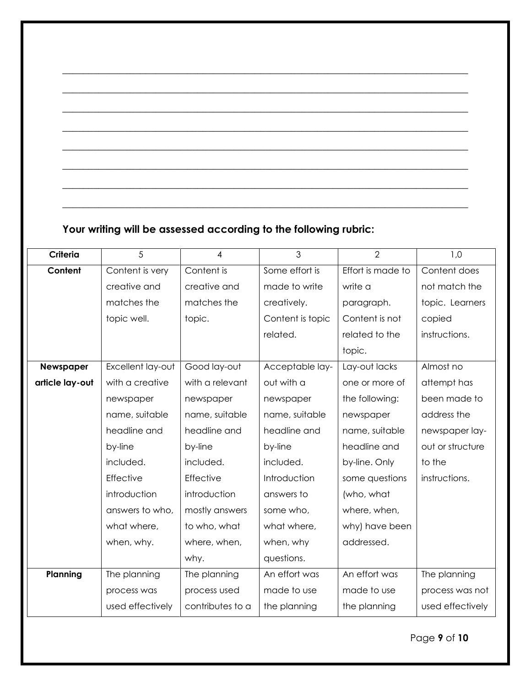# **Your writing will be assessed according to the following rubric:**

| Criteria        | 5                 | $\overline{4}$   | 3                | $\overline{2}$    | 1,0              |
|-----------------|-------------------|------------------|------------------|-------------------|------------------|
| Content         | Content is very   | Content is       | Some effort is   | Effort is made to | Content does     |
|                 | creative and      | creative and     | made to write    | write a           | not match the    |
|                 | matches the       | matches the      | creatively.      | paragraph.        | topic. Learners  |
|                 | topic well.       | topic.           | Content is topic | Content is not    | copied           |
|                 |                   |                  | related.         | related to the    | instructions.    |
|                 |                   |                  |                  | topic.            |                  |
| Newspaper       | Excellent lay-out | Good lay-out     | Acceptable lay-  | Lay-out lacks     | Almost no        |
| article lay-out | with a creative   | with a relevant  | out with a       | one or more of    | attempt has      |
|                 | newspaper         | newspaper        | newspaper        | the following:    | been made to     |
|                 | name, suitable    | name, suitable   | name, suitable   | newspaper         | address the      |
|                 | headline and      | headline and     | headline and     | name, suitable    | newspaper lay-   |
|                 | by-line           | by-line          | by-line          | headline and      | out or structure |
|                 | included.         | included.        | included.        | by-line. Only     | to the           |
|                 | Effective         | Effective        | Introduction     | some questions    | instructions.    |
|                 | introduction      | introduction     | answers to       | (who, what        |                  |
|                 | answers to who,   | mostly answers   | some who,        | where, when,      |                  |
|                 | what where,       | to who, what     | what where,      | why) have been    |                  |
|                 | when, why.        | where, when,     | when, why        | addressed.        |                  |
|                 |                   | why.             | questions.       |                   |                  |
| Planning        | The planning      | The planning     | An effort was    | An effort was     | The planning     |
|                 | process was       | process used     | made to use      | made to use       | process was not  |
|                 | used effectively  | contributes to a | the planning     | the planning      | used effectively |

**\_\_\_\_\_\_\_\_\_\_\_\_\_\_\_\_\_\_\_\_\_\_\_\_\_\_\_\_\_\_\_\_\_\_\_\_\_\_\_\_\_\_\_\_\_\_\_\_\_\_\_\_\_\_\_\_\_\_\_\_\_\_\_\_\_\_\_\_\_\_\_\_\_\_\_\_\_\_**

**\_\_\_\_\_\_\_\_\_\_\_\_\_\_\_\_\_\_\_\_\_\_\_\_\_\_\_\_\_\_\_\_\_\_\_\_\_\_\_\_\_\_\_\_\_\_\_\_\_\_\_\_\_\_\_\_\_\_\_\_\_\_\_\_\_\_\_\_\_\_\_\_\_\_\_\_\_\_**

**\_\_\_\_\_\_\_\_\_\_\_\_\_\_\_\_\_\_\_\_\_\_\_\_\_\_\_\_\_\_\_\_\_\_\_\_\_\_\_\_\_\_\_\_\_\_\_\_\_\_\_\_\_\_\_\_\_\_\_\_\_\_\_\_\_\_\_\_\_\_\_\_\_\_\_\_\_\_**

**\_\_\_\_\_\_\_\_\_\_\_\_\_\_\_\_\_\_\_\_\_\_\_\_\_\_\_\_\_\_\_\_\_\_\_\_\_\_\_\_\_\_\_\_\_\_\_\_\_\_\_\_\_\_\_\_\_\_\_\_\_\_\_\_\_\_\_\_\_\_\_\_\_\_\_\_\_\_**

**\_\_\_\_\_\_\_\_\_\_\_\_\_\_\_\_\_\_\_\_\_\_\_\_\_\_\_\_\_\_\_\_\_\_\_\_\_\_\_\_\_\_\_\_\_\_\_\_\_\_\_\_\_\_\_\_\_\_\_\_\_\_\_\_\_\_\_\_\_\_\_\_\_\_\_\_\_\_**

**\_\_\_\_\_\_\_\_\_\_\_\_\_\_\_\_\_\_\_\_\_\_\_\_\_\_\_\_\_\_\_\_\_\_\_\_\_\_\_\_\_\_\_\_\_\_\_\_\_\_\_\_\_\_\_\_\_\_\_\_\_\_\_\_\_\_\_\_\_\_\_\_\_\_\_\_\_\_**

**\_\_\_\_\_\_\_\_\_\_\_\_\_\_\_\_\_\_\_\_\_\_\_\_\_\_\_\_\_\_\_\_\_\_\_\_\_\_\_\_\_\_\_\_\_\_\_\_\_\_\_\_\_\_\_\_\_\_\_\_\_\_\_\_\_\_\_\_\_\_\_\_\_\_\_\_\_\_**

**\_\_\_\_\_\_\_\_\_\_\_\_\_\_\_\_\_\_\_\_\_\_\_\_\_\_\_\_\_\_\_\_\_\_\_\_\_\_\_\_\_\_\_\_\_\_\_\_\_\_\_\_\_\_\_\_\_\_\_\_\_\_\_\_\_\_\_\_\_\_\_\_\_\_\_\_\_\_**

Page **9** of **10**